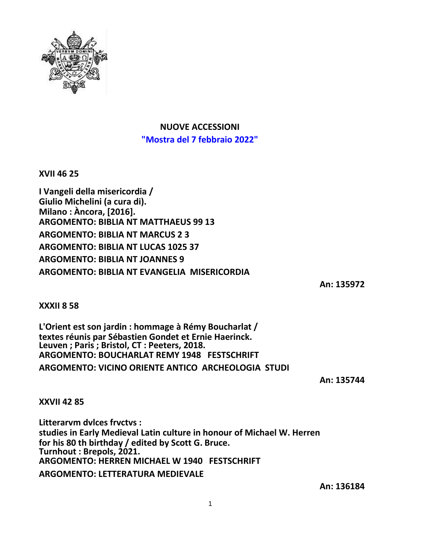

**NUOVE ACCESSIONI "Mostra del 7 febbraio 2022"**

**XVII 46 25**

**I Vangeli della misericordia / Giulio Michelini (a cura di). Milano : Àncora, [2016]. ARGOMENTO: BIBLIA NT MATTHAEUS 99 13 ARGOMENTO: BIBLIA NT MARCUS 2 3 ARGOMENTO: BIBLIA NT LUCAS 1025 37 ARGOMENTO: BIBLIA NT JOANNES 9 ARGOMENTO: BIBLIA NT EVANGELIA MISERICORDIA**

**An: 135972**

**XXXII 8 58**

**L'Orient est son jardin : hommage à Rémy Boucharlat / textes réunis par Sébastien Gondet et Ernie Haerinck. Leuven ; Paris ; Bristol, CT : Peeters, 2018. ARGOMENTO: BOUCHARLAT REMY 1948 FESTSCHRIFT ARGOMENTO: VICINO ORIENTE ANTICO ARCHEOLOGIA STUDI**

**An: 135744**

**XXVII 42 85**

**Litterarvm dvlces frvctvs : studies in Early Medieval Latin culture in honour of Michael W. Herren for his 80 th birthday / edited by Scott G. Bruce. Turnhout : Brepols, 2021. ARGOMENTO: HERREN MICHAEL W 1940 FESTSCHRIFT ARGOMENTO: LETTERATURA MEDIEVALE**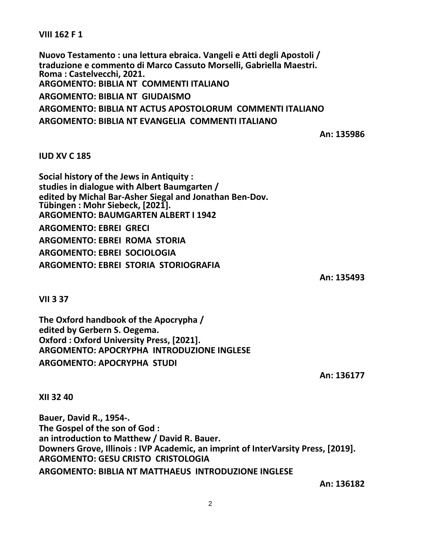**VIII 162 F 1**

**Nuovo Testamento : una lettura ebraica. Vangeli e Atti degli Apostoli / traduzione e commento di Marco Cassuto Morselli, Gabriella Maestri. Roma : Castelvecchi, 2021. ARGOMENTO: BIBLIA NT COMMENTI ITALIANO ARGOMENTO: BIBLIA NT GIUDAISMO ARGOMENTO: BIBLIA NT ACTUS APOSTOLORUM COMMENTI ITALIANO ARGOMENTO: BIBLIA NT EVANGELIA COMMENTI ITALIANO**

**An: 135986**

## **IUD XV C 185**

**Social history of the Jews in Antiquity : studies in dialogue with Albert Baumgarten / edited by Michal Bar-Asher Siegal and Jonathan Ben-Dov. Tübingen : Mohr Siebeck, [2021]. ARGOMENTO: BAUMGARTEN ALBERT I 1942 ARGOMENTO: EBREI GRECI ARGOMENTO: EBREI ROMA STORIA ARGOMENTO: EBREI SOCIOLOGIA ARGOMENTO: EBREI STORIA STORIOGRAFIA**

**An: 135493**

**VII 3 37**

**The Oxford handbook of the Apocrypha / edited by Gerbern S. Oegema. Oxford : Oxford University Press, [2021]. ARGOMENTO: APOCRYPHA INTRODUZIONE INGLESE ARGOMENTO: APOCRYPHA STUDI**

**An: 136177**

**XII 32 40**

**Bauer, David R., 1954-. The Gospel of the son of God : an introduction to Matthew / David R. Bauer. Downers Grove, Illinois : IVP Academic, an imprint of InterVarsity Press, [2019]. ARGOMENTO: GESU CRISTO CRISTOLOGIA ARGOMENTO: BIBLIA NT MATTHAEUS INTRODUZIONE INGLESE**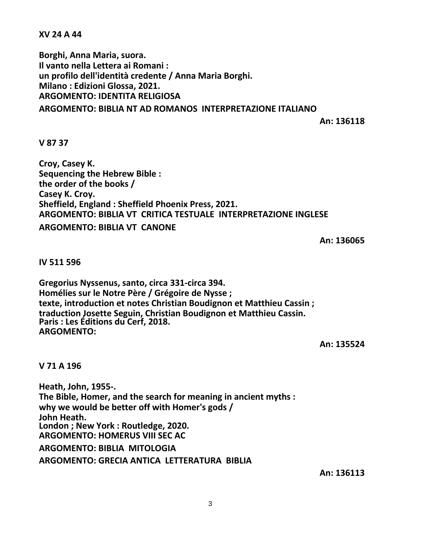**XV 24 A 44**

**Borghi, Anna Maria, suora. Il vanto nella Lettera ai Romani : un profilo dell'identità credente / Anna Maria Borghi. Milano : Edizioni Glossa, 2021. ARGOMENTO: IDENTITA RELIGIOSA ARGOMENTO: BIBLIA NT AD ROMANOS INTERPRETAZIONE ITALIANO**

**An: 136118**

**V 87 37**

**Croy, Casey K. Sequencing the Hebrew Bible : the order of the books / Casey K. Croy. Sheffield, England : Sheffield Phoenix Press, 2021. ARGOMENTO: BIBLIA VT CRITICA TESTUALE INTERPRETAZIONE INGLESE ARGOMENTO: BIBLIA VT CANONE**

**An: 136065**

**IV 511 596**

**Gregorius Nyssenus, santo, circa 331-circa 394. Homélies sur le Notre Père / Grégoire de Nysse ; texte, introduction et notes Christian Boudignon et Matthieu Cassin ; traduction Josette Seguin, Christian Boudignon et Matthieu Cassin. Paris : Les Éditions du Cerf, 2018. ARGOMENTO:**

**An: 135524**

**V 71 A 196**

**Heath, John, 1955-. The Bible, Homer, and the search for meaning in ancient myths : why we would be better off with Homer's gods / John Heath. London ; New York : Routledge, 2020. ARGOMENTO: HOMERUS VIII SEC AC ARGOMENTO: BIBLIA MITOLOGIA ARGOMENTO: GRECIA ANTICA LETTERATURA BIBLIA**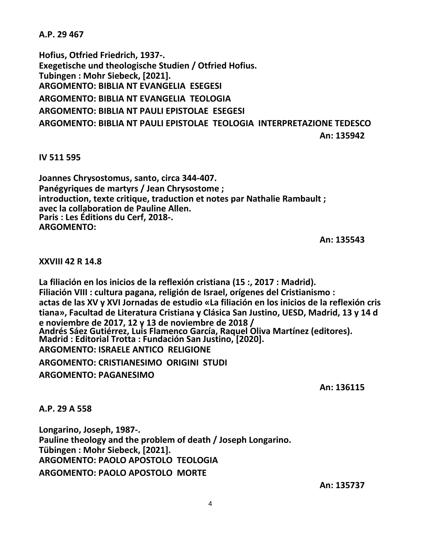**A.P. 29 467**

**Hofius, Otfried Friedrich, 1937-. Exegetische und theologische Studien / Otfried Hofius. Tubingen : Mohr Siebeck, [2021]. ARGOMENTO: BIBLIA NT EVANGELIA ESEGESI ARGOMENTO: BIBLIA NT EVANGELIA TEOLOGIA ARGOMENTO: BIBLIA NT PAULI EPISTOLAE ESEGESI ARGOMENTO: BIBLIA NT PAULI EPISTOLAE TEOLOGIA INTERPRETAZIONE TEDESCO**

**An: 135942**

**IV 511 595**

**Joannes Chrysostomus, santo, circa 344-407. Panégyriques de martyrs / Jean Chrysostome ; introduction, texte critique, traduction et notes par Nathalie Rambault ; avec la collaboration de Pauline Allen. Paris : Les Éditions du Cerf, 2018-. ARGOMENTO:**

**An: 135543**

**XXVIII 42 R 14.8**

**La filiación en los inicios de la reflexión cristiana (15 :, 2017 : Madrid). Filiación VIII : cultura pagana, religión de Israel, orígenes del Cristianismo : actas de las XV y XVI Jornadas de estudio «La filiación en los inicios de la reflexión cris tiana», Facultad de Literatura Cristiana y Clásica San Justino, UESD, Madrid, 13 y 14 d e noviembre de 2017, 12 y 13 de noviembre de 2018 / Andrés Sáez Gutiérrez, Luis Flamenco García, Raquel Oliva Martínez (editores). Madrid : Editorial Trotta : Fundación San Justino, [2020]. ARGOMENTO: ISRAELE ANTICO RELIGIONE**

**ARGOMENTO: CRISTIANESIMO ORIGINI STUDI**

**ARGOMENTO: PAGANESIMO**

**An: 136115**

**A.P. 29 A 558**

**Longarino, Joseph, 1987-. Pauline theology and the problem of death / Joseph Longarino. Tübingen : Mohr Siebeck, [2021]. ARGOMENTO: PAOLO APOSTOLO TEOLOGIA ARGOMENTO: PAOLO APOSTOLO MORTE**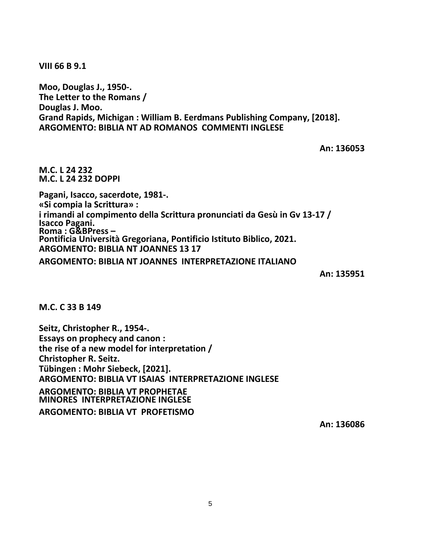**VIII 66 B 9.1**

**Moo, Douglas J., 1950-. The Letter to the Romans / Douglas J. Moo. Grand Rapids, Michigan : William B. Eerdmans Publishing Company, [2018]. ARGOMENTO: BIBLIA NT AD ROMANOS COMMENTI INGLESE**

**An: 136053**

**M.C. L 24 232 M.C. L 24 232 DOPPI**

**Pagani, Isacco, sacerdote, 1981-. «Si compia la Scrittura» : i rimandi al compimento della Scrittura pronunciati da Gesù in Gv 13-17 / Isacco Pagani. Roma : G&BPress – Pontificia Università Gregoriana, Pontificio Istituto Biblico, 2021. ARGOMENTO: BIBLIA NT JOANNES 13 17**

**ARGOMENTO: BIBLIA NT JOANNES INTERPRETAZIONE ITALIANO**

**An: 135951**

**M.C. C 33 B 149**

**Seitz, Christopher R., 1954-. Essays on prophecy and canon : the rise of a new model for interpretation / Christopher R. Seitz. Tübingen : Mohr Siebeck, [2021]. ARGOMENTO: BIBLIA VT ISAIAS INTERPRETAZIONE INGLESE ARGOMENTO: BIBLIA VT PROPHETAE MINORES INTERPRETAZIONE INGLESE ARGOMENTO: BIBLIA VT PROFETISMO**